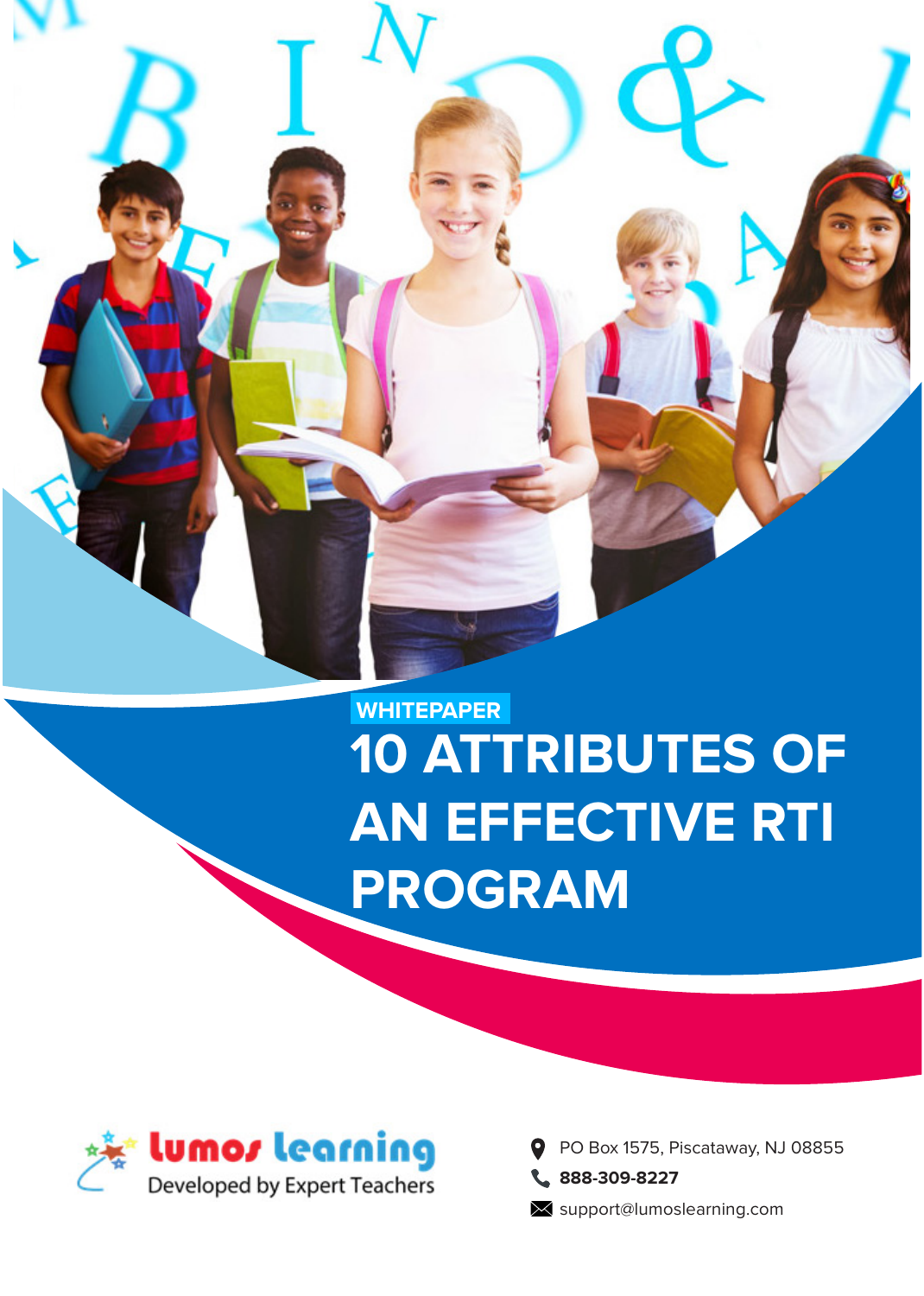

# **10 ATTRIBUTES OF AN EFFECTIVE RTI PROGRAM WHITEPAPER**



PO Box 1575, Piscataway, NJ 08855 O **888-309-8227**

**X** support@lumoslearning.com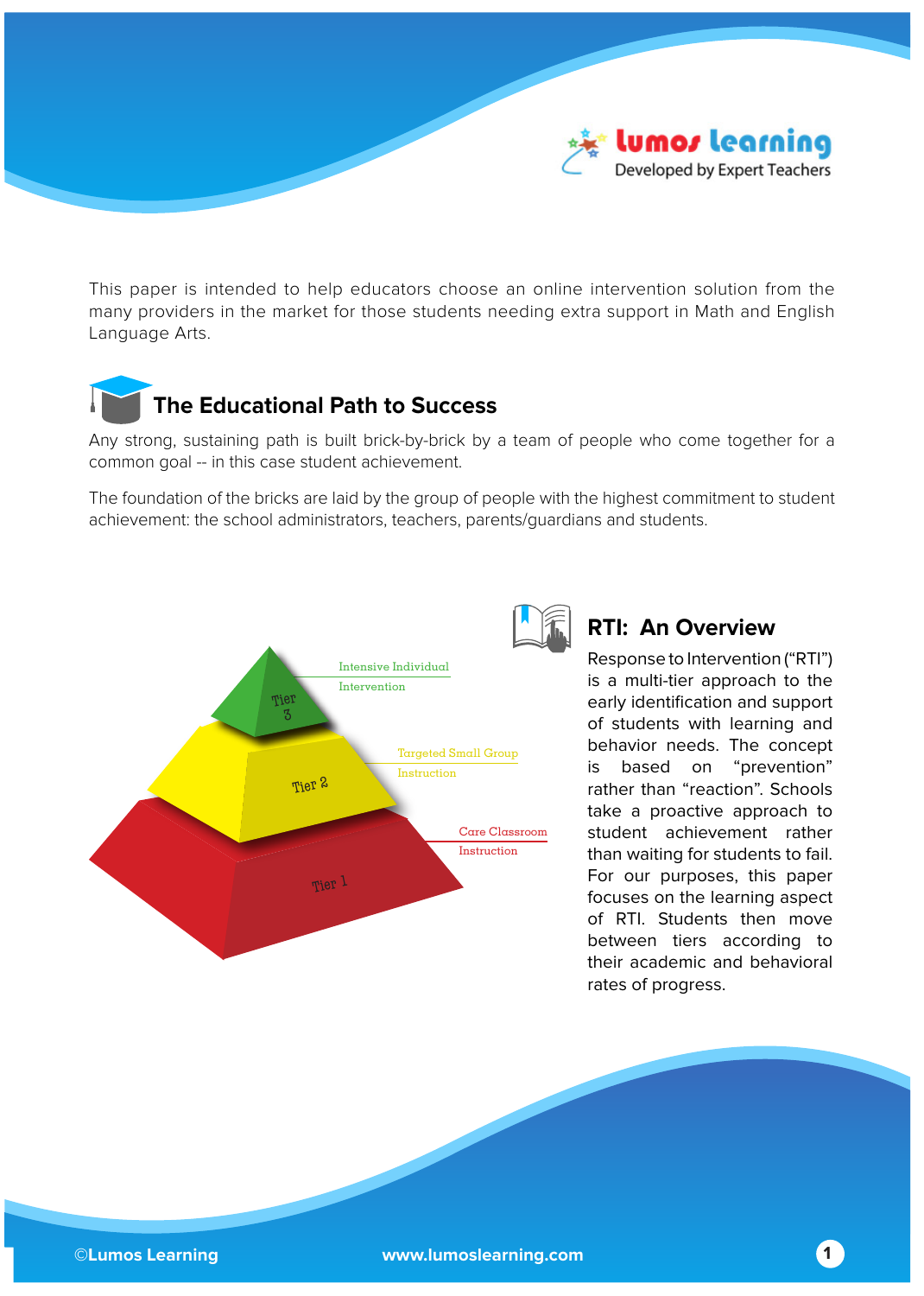

This paper is intended to help educators choose an online intervention solution from the many providers in the market for those students needing extra support in Math and English Language Arts.

### **The Educational Path to Success**

Any strong, sustaining path is built brick-by-brick by a team of people who come together for a common goal -- in this case student achievement.

The foundation of the bricks are laid by the group of people with the highest commitment to student achievement: the school administrators, teachers, parents/guardians and students.



### **RTI: An Overview**

Response to Intervention ("RTI") is a multi-tier approach to the early identification and support of students with learning and behavior needs. The concept is based on "prevention" rather than "reaction". Schools take a proactive approach to student achievement rather than waiting for students to fail. For our purposes, this paper focuses on the learning aspect of RTI. Students then move between tiers according to their academic and behavioral rates of progress.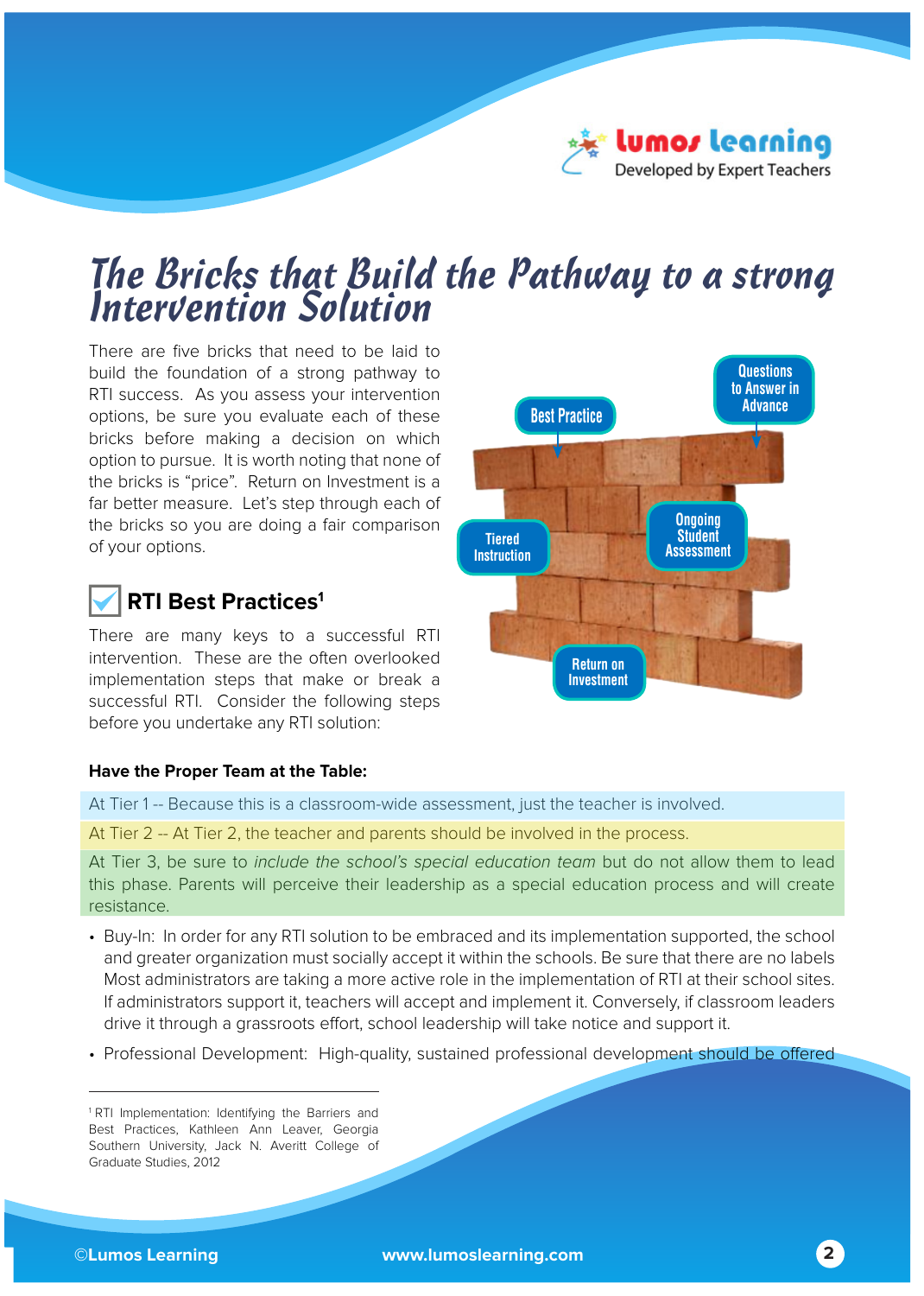

# *The Bricks that Build the Pathway to a strong Intervention Solution*

There are five bricks that need to be laid to build the foundation of a strong pathway to RTI success. As you assess your intervention options, be sure you evaluate each of these bricks before making a decision on which option to pursue. It is worth noting that none of the bricks is "price". Return on Investment is a far better measure. Let's step through each of the bricks so you are doing a fair comparison of your options.

### **RTI Best Practices1**

There are many keys to a successful RTI intervention. These are the often overlooked implementation steps that make or break a successful RTI. Consider the following steps before you undertake any RTI solution:



### **Have the Proper Team at the Table:**

At Tier 1 -- Because this is a classroom-wide assessment, just the teacher is involved.

At Tier 2 -- At Tier 2, the teacher and parents should be involved in the process.

At Tier 3, be sure to *include the school's special education team* but do not allow them to lead this phase. Parents will perceive their leadership as a special education process and will create resistance.

- Buy-In: In order for any RTI solution to be embraced and its implementation supported, the school and greater organization must socially accept it within the schools. Be sure that there are no labels Most administrators are taking a more active role in the implementation of RTI at their school sites. If administrators support it, teachers will accept and implement it. Conversely, if classroom leaders drive it through a grassroots effort, school leadership will take notice and support it.
- Professional Development: High-quality, sustained professional development should be offered

<sup>&</sup>lt;sup>1</sup> RTI Implementation: Identifying the Barriers and Best Practices, Kathleen Ann Leaver, Georgia Southern University, Jack N. Averitt College of Graduate Studies, 2012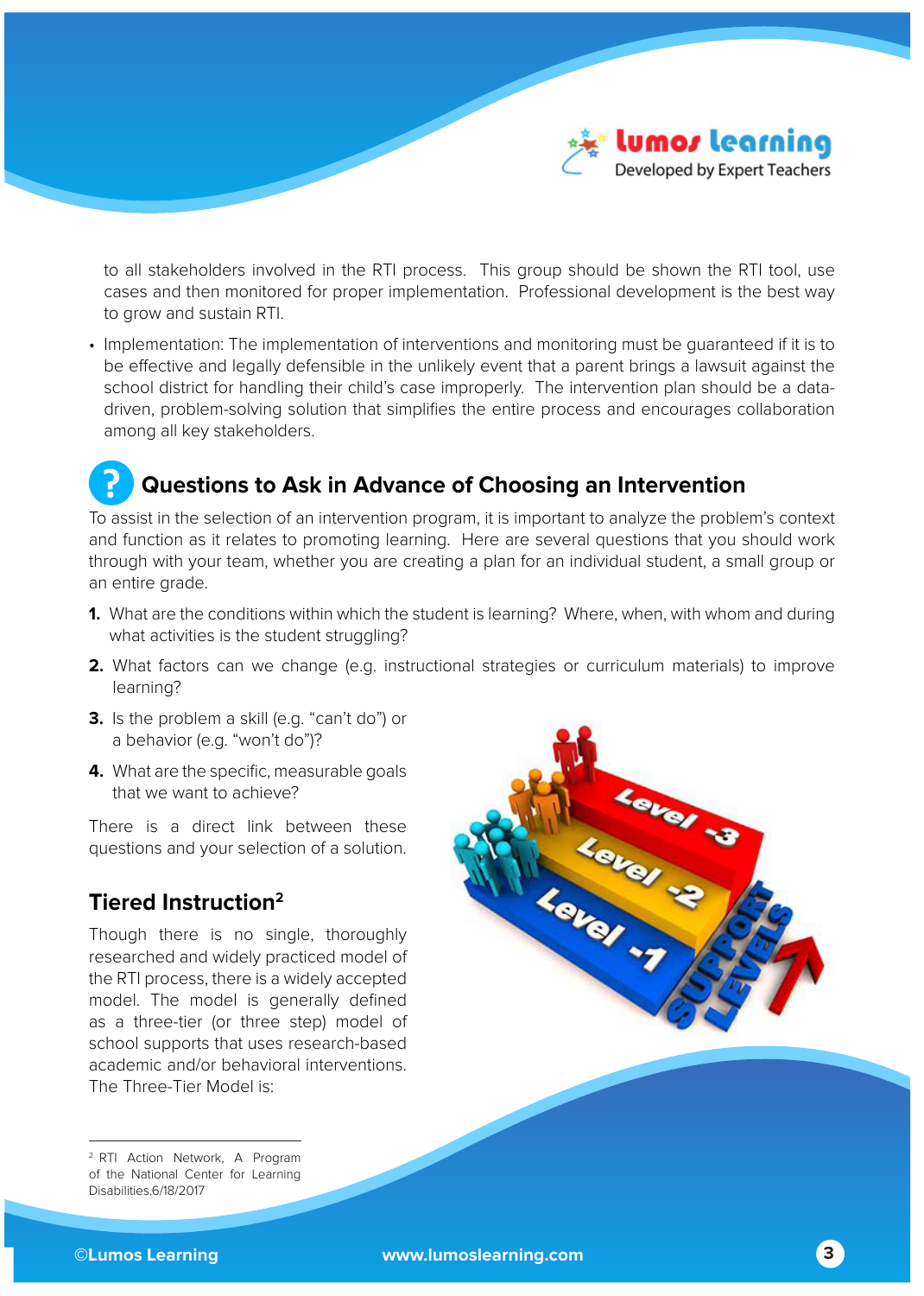

to all stakeholders involved in the RTI process. This group should be shown the RTI tool, use cases and then monitored for proper implementation. Professional development is the best way to grow and sustain RTI.

• Implementation: The implementation of interventions and monitoring must be guaranteed if it is to be effective and legally defensible in the unlikely event that a parent brings a lawsuit against the school district for handling their child's case improperly. The intervention plan should be a datadriven, problem-solving solution that simplifies the entire process and encourages collaboration among all key stakeholders.

### **Questions to Ask in Advance of Choosing an Intervention**

To assist in the selection of an intervention program, it is important to analyze the problem's context and function as it relates to promoting learning. Here are several questions that you should work through with your team, whether you are creating a plan for an individual student, a small group or an entire grade.

- **1.** What are the conditions within which the student is learning? Where, when, with whom and during what activities is the student struggling?
- **2.** What factors can we change (e.g. instructional strategies or curriculum materials) to improve learning?
- **3.** Is the problem a skill (e.g. "can't do") or a behavior (e.g. "won't do")?
- **4.** What are the specific, measurable goals that we want to achieve?

There is a direct link between these questions and your selection of a solution.

### **Tiered Instruction2**

Though there is no single, thoroughly researched and widely practiced model of the RTI process, there is a widely accepted model. The model is generally defined as a three-tier (or three step) model of school supports that uses research-based academic and/or behavioral interventions. The Three-Tier Model is:

2 RTI Action Network, A Program of the National Center for Learning Disabilities.6/18/2017

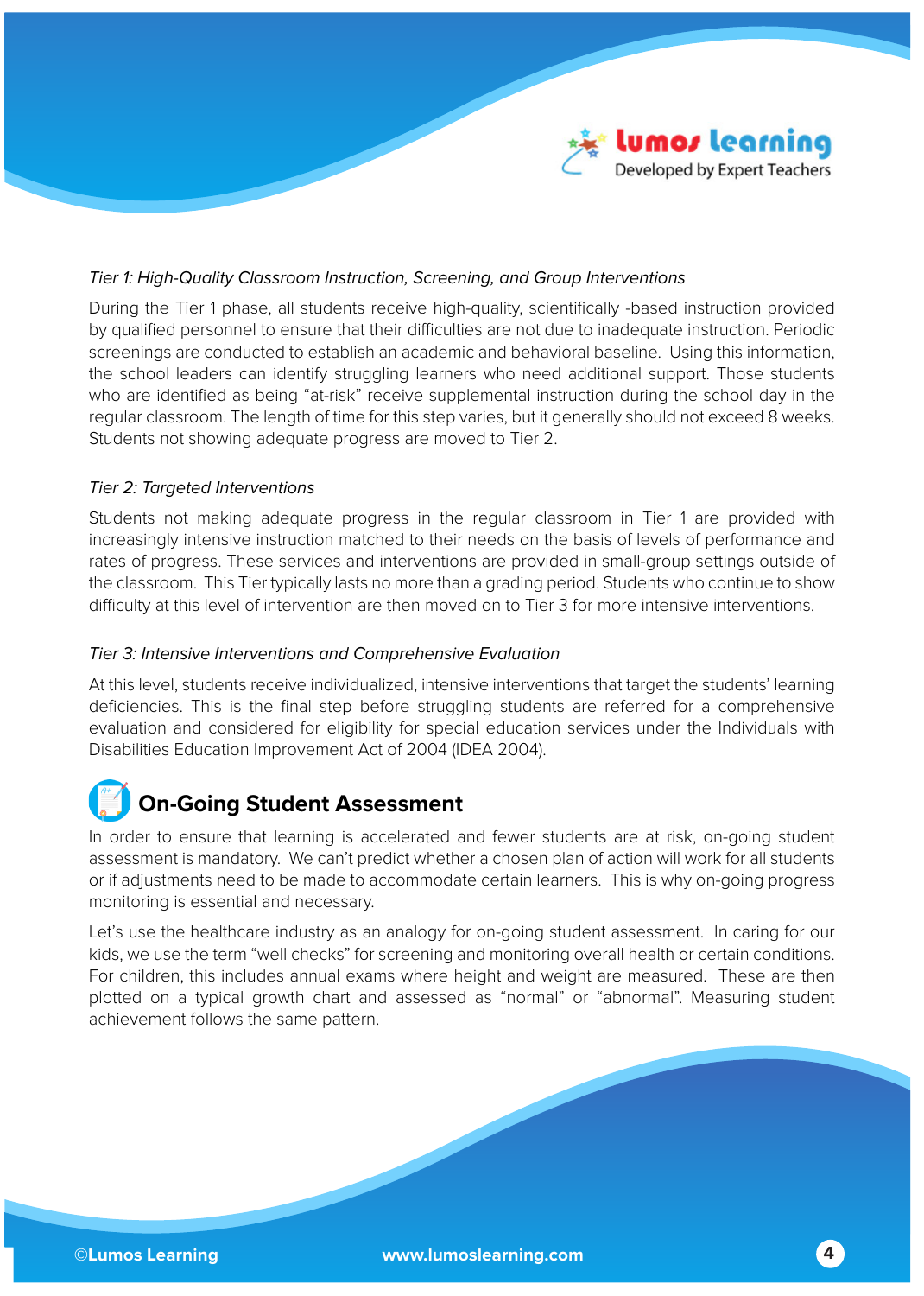

### Tier 1: High-Quality Classroom Instruction, Screening, and Group Interventions

During the Tier 1 phase, all students receive high-quality, scientifically -based instruction provided by qualified personnel to ensure that their difficulties are not due to inadequate instruction. Periodic screenings are conducted to establish an academic and behavioral baseline. Using this information, the school leaders can identify struggling learners who need additional support. Those students who are identified as being "at-risk" receive supplemental instruction during the school day in the regular classroom. The length of time for this step varies, but it generally should not exceed 8 weeks. Students not showing adequate progress are moved to Tier 2.

### Tier 2: Targeted Interventions

Students not making adequate progress in the regular classroom in Tier 1 are provided with increasingly intensive instruction matched to their needs on the basis of levels of performance and rates of progress. These services and interventions are provided in small-group settings outside of the classroom. This Tier typically lasts no more than a grading period. Students who continue to show difficulty at this level of intervention are then moved on to Tier 3 for more intensive interventions.

### Tier 3: Intensive Interventions and Comprehensive Evaluation

At this level, students receive individualized, intensive interventions that target the students' learning deficiencies. This is the final step before struggling students are referred for a comprehensive evaluation and considered for eligibility for special education services under the Individuals with Disabilities Education Improvement Act of 2004 (IDEA 2004).

### **On-Going Student Assessment**

In order to ensure that learning is accelerated and fewer students are at risk, on-going student assessment is mandatory. We can't predict whether a chosen plan of action will work for all students or if adjustments need to be made to accommodate certain learners. This is why on-going progress monitoring is essential and necessary.

Let's use the healthcare industry as an analogy for on-going student assessment. In caring for our kids, we use the term "well checks" for screening and monitoring overall health or certain conditions. For children, this includes annual exams where height and weight are measured. These are then plotted on a typical growth chart and assessed as "normal" or "abnormal". Measuring student achievement follows the same pattern.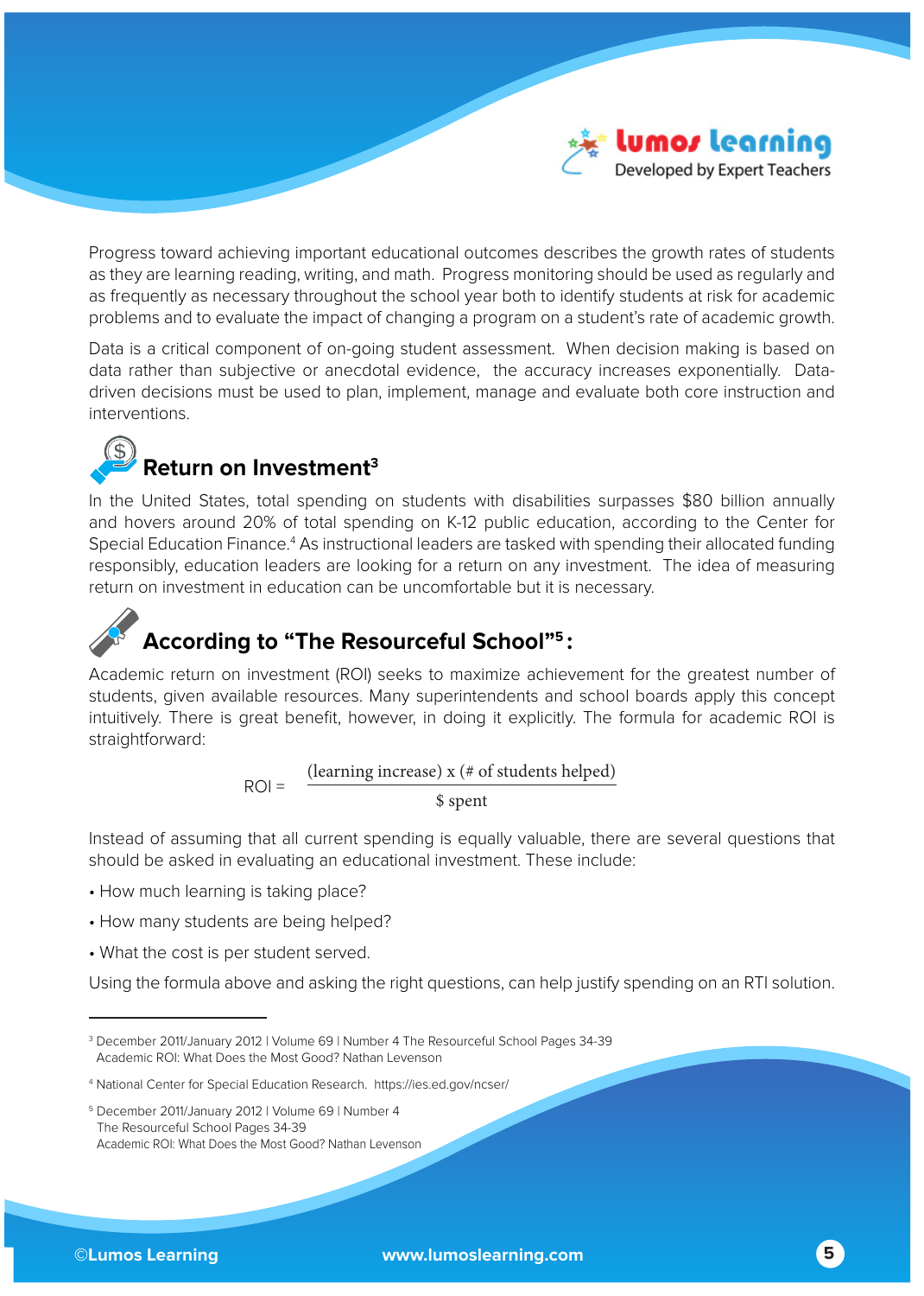

Progress toward achieving important educational outcomes describes the growth rates of students as they are learning reading, writing, and math. Progress monitoring should be used as regularly and as frequently as necessary throughout the school year both to identify students at risk for academic problems and to evaluate the impact of changing a program on a student's rate of academic growth.

Data is a critical component of on-going student assessment. When decision making is based on data rather than subjective or anecdotal evidence, the accuracy increases exponentially. Datadriven decisions must be used to plan, implement, manage and evaluate both core instruction and interventions.

### **Return on Investment3**

In the United States, total spending on students with disabilities surpasses \$80 billion annually and hovers around 20% of total spending on K-12 public education, according to the Center for Special Education Finance.<sup>4</sup> As instructional leaders are tasked with spending their allocated funding responsibly, education leaders are looking for a return on any investment. The idea of measuring return on investment in education can be uncomfortable but it is necessary.

### **According to "The Resourceful School"5 :**

Academic return on investment (ROI) seeks to maximize achievement for the greatest number of students, given available resources. Many superintendents and school boards apply this concept intuitively. There is great benefit, however, in doing it explicitly. The formula for academic ROI is straightforward:

> (learning increase) x (# of students helped) \$ spent  $ROI =$

Instead of assuming that all current spending is equally valuable, there are several questions that should be asked in evaluating an educational investment. These include:

- How much learning is taking place?
- How many students are being helped?
- What the cost is per student served.

Using the formula above and asking the right questions, can help justify spending on an RTI solution.

<sup>3</sup> December 2011/January 2012 | Volume 69 | Number 4 The Resourceful School Pages 34-39 Academic ROI: What Does the Most Good? Nathan Levenson

<sup>4</sup> National Center for Special Education Research. https://ies.ed.gov/ncser/

<sup>5</sup> December 2011/January 2012 | Volume 69 | Number 4 The Resourceful School Pages 34-39 Academic ROI: What Does the Most Good? Nathan Levenson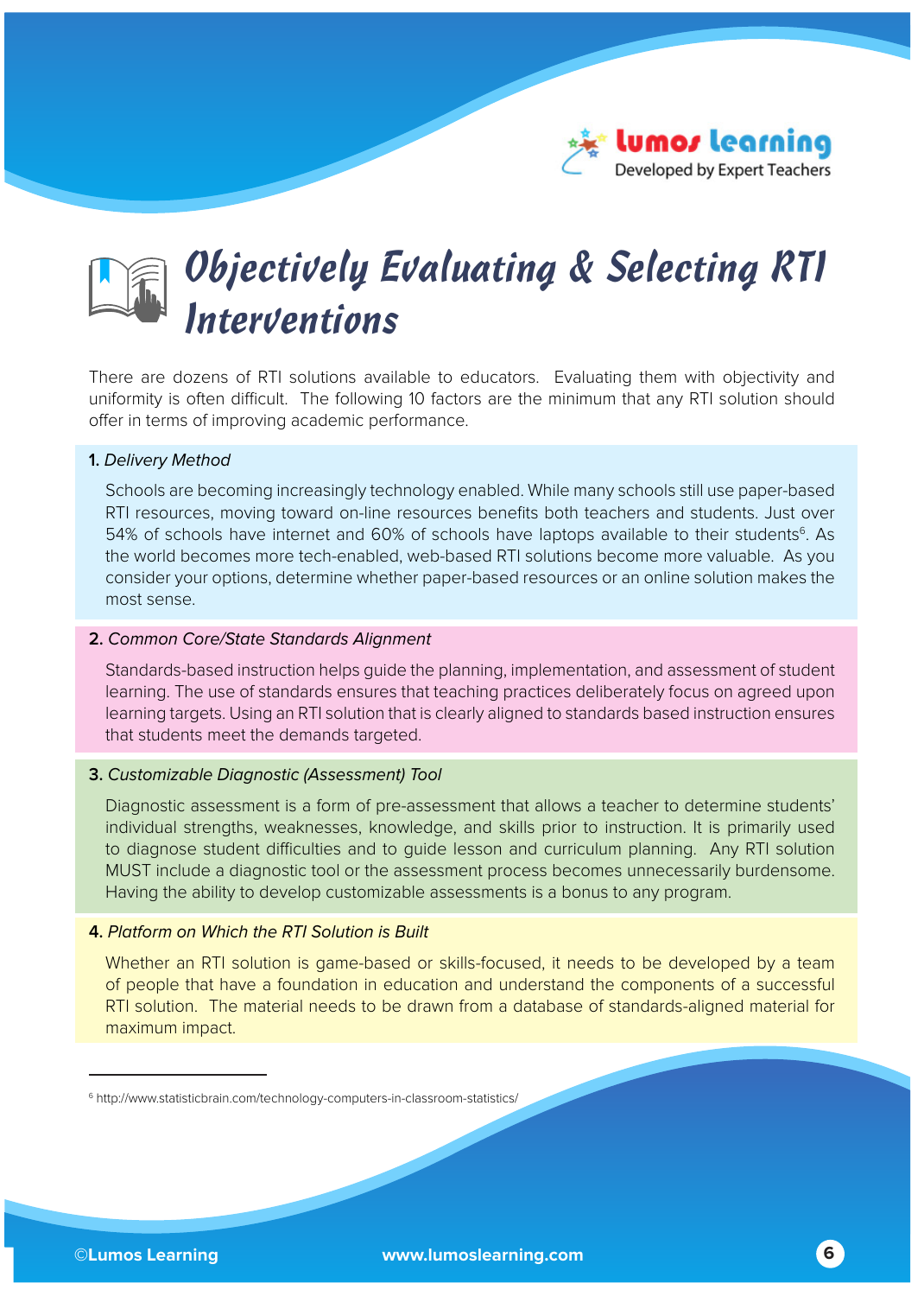

## *Objectively Evaluating & Selecting RTI Interventions*

There are dozens of RTI solutions available to educators. Evaluating them with objectivity and uniformity is often difficult. The following 10 factors are the minimum that any RTI solution should offer in terms of improving academic performance.

### **1.** Delivery Method

Schools are becoming increasingly technology enabled. While many schools still use paper-based RTI resources, moving toward on-line resources benefits both teachers and students. Just over 54% of schools have internet and 60% of schools have laptops available to their students<sup>6</sup>. As the world becomes more tech-enabled, web-based RTI solutions become more valuable. As you consider your options, determine whether paper-based resources or an online solution makes the most sense.

### **2.** Common Core/State Standards Alignment

Standards-based instruction helps guide the planning, implementation, and assessment of student learning. The use of standards ensures that teaching practices deliberately focus on agreed upon learning targets. Using an RTI solution that is clearly aligned to standards based instruction ensures that students meet the demands targeted.

### **3.** Customizable Diagnostic (Assessment) Tool

Diagnostic assessment is a form of pre-assessment that allows a teacher to determine students' individual strengths, weaknesses, knowledge, and skills prior to instruction. It is primarily used to diagnose student difficulties and to guide lesson and curriculum planning. Any RTI solution MUST include a diagnostic tool or the assessment process becomes unnecessarily burdensome. Having the ability to develop customizable assessments is a bonus to any program.

### **4.** Platform on Which the RTI Solution is Built

Whether an RTI solution is game-based or skills-focused, it needs to be developed by a team of people that have a foundation in education and understand the components of a successful RTI solution. The material needs to be drawn from a database of standards-aligned material for maximum impact.

<sup>6</sup> http://www.statisticbrain.com/technology-computers-in-classroom-statistics/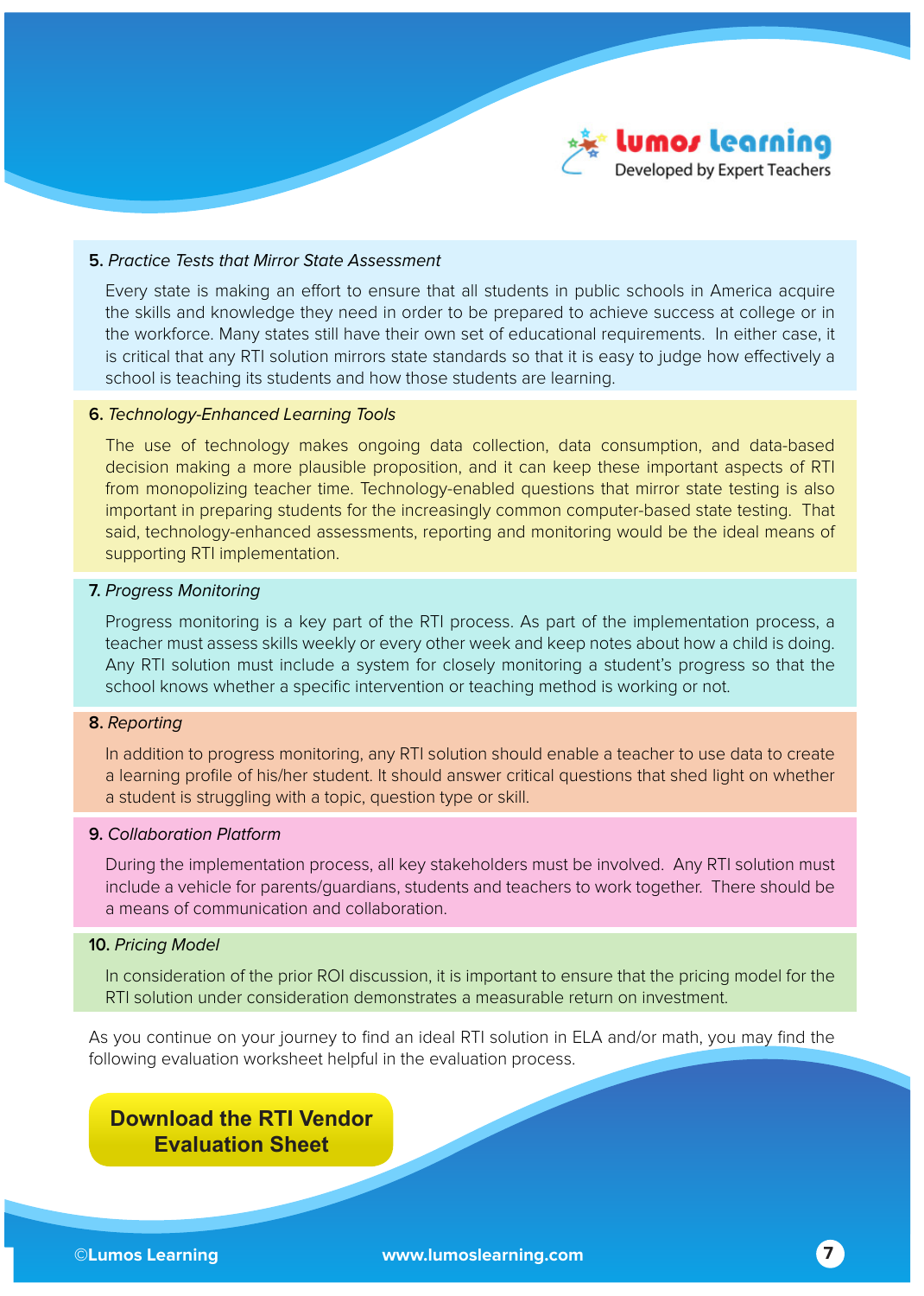

### **5.** Practice Tests that Mirror State Assessment

Every state is making an effort to ensure that all students in public schools in America acquire the skills and knowledge they need in order to be prepared to achieve success at college or in the workforce. Many states still have their own set of educational requirements. In either case, it is critical that any RTI solution mirrors state standards so that it is easy to judge how effectively a school is teaching its students and how those students are learning.

#### **6.** Technology-Enhanced Learning Tools

The use of technology makes ongoing data collection, data consumption, and data-based decision making a more plausible proposition, and it can keep these important aspects of RTI from monopolizing teacher time. Technology-enabled questions that mirror state testing is also important in preparing students for the increasingly common computer-based state testing. That said, technology-enhanced assessments, reporting and monitoring would be the ideal means of supporting RTI implementation.

#### **7.** Progress Monitoring

Progress monitoring is a key part of the RTI process. As part of the implementation process, a teacher must assess skills weekly or every other week and keep notes about how a child is doing. Any RTI solution must include a system for closely monitoring a student's progress so that the school knows whether a specific intervention or teaching method is working or not.

#### **8.** Reporting

In addition to progress monitoring, any RTI solution should enable a teacher to use data to create a learning profile of his/her student. It should answer critical questions that shed light on whether a student is struggling with a topic, question type or skill.

#### **9.** Collaboration Platform

During the implementation process, all key stakeholders must be involved. Any RTI solution must include a vehicle for parents/guardians, students and teachers to work together. There should be a means of communication and collaboration.

### **10.** Pricing Model

In consideration of the prior ROI discussion, it is important to ensure that the pricing model for the RTI solution under consideration demonstrates a measurable return on investment.

As you continue on your journey to find an ideal RTI solution in ELA and/or math, you may find the following evaluation worksheet helpful in the evaluation process.

### **Download the RTI Vendor Evaluation Sheet**